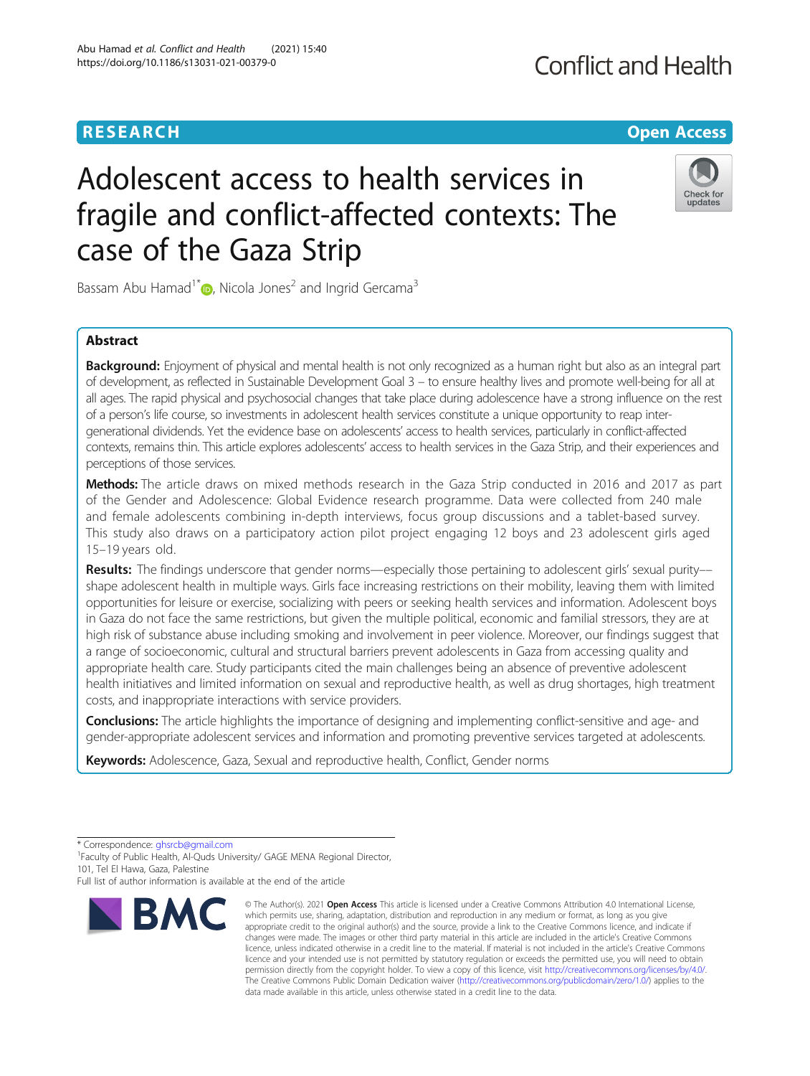## **RESEARCH CHEAR CHEAR CHEAR CHEAR CHEAR CHEAR CHEAR CHEAR CHEAR CHEAR CHEAR CHEAR CHEAR CHEAR CHEAR CHEAR CHEAR**

# Adolescent access to health services in fragile and conflict-affected contexts: The case of the Gaza Strip

Bassam Abu Hamad<sup>1\*</sup>  $\bullet$ [,](http://orcid.org/0000-0002-4506-3289) Nicola Jones<sup>2</sup> and Ingrid Gercama<sup>3</sup>

## Abstract

Background: Enjoyment of physical and mental health is not only recognized as a human right but also as an integral part of development, as reflected in Sustainable Development Goal 3 – to ensure healthy lives and promote well-being for all at all ages. The rapid physical and psychosocial changes that take place during adolescence have a strong influence on the rest of a person's life course, so investments in adolescent health services constitute a unique opportunity to reap intergenerational dividends. Yet the evidence base on adolescents' access to health services, particularly in conflict-affected contexts, remains thin. This article explores adolescents' access to health services in the Gaza Strip, and their experiences and perceptions of those services.

Methods: The article draws on mixed methods research in the Gaza Strip conducted in 2016 and 2017 as part of the Gender and Adolescence: Global Evidence research programme. Data were collected from 240 male and female adolescents combining in-depth interviews, focus group discussions and a tablet-based survey. This study also draws on a participatory action pilot project engaging 12 boys and 23 adolescent girls aged 15–19 years old.

Results: The findings underscore that gender norms—especially those pertaining to adolescent girls' sexual purity-shape adolescent health in multiple ways. Girls face increasing restrictions on their mobility, leaving them with limited opportunities for leisure or exercise, socializing with peers or seeking health services and information. Adolescent boys in Gaza do not face the same restrictions, but given the multiple political, economic and familial stressors, they are at high risk of substance abuse including smoking and involvement in peer violence. Moreover, our findings suggest that a range of socioeconomic, cultural and structural barriers prevent adolescents in Gaza from accessing quality and appropriate health care. Study participants cited the main challenges being an absence of preventive adolescent health initiatives and limited information on sexual and reproductive health, as well as drug shortages, high treatment costs, and inappropriate interactions with service providers.

Conclusions: The article highlights the importance of designing and implementing conflict-sensitive and age- and gender-appropriate adolescent services and information and promoting preventive services targeted at adolescents.

Keywords: Adolescence, Gaza, Sexual and reproductive health, Conflict, Gender norms

<sup>1</sup>Faculty of Public Health, Al-Quds University/ GAGE MENA Regional Director, 101, Tel El Hawa, Gaza, Palestine



**BMC** 



<sup>\*</sup> Correspondence: [ghsrcb@gmail.com](mailto:ghsrcb@gmail.com) <sup>1</sup>

Full list of author information is available at the end of the article

<sup>©</sup> The Author(s), 2021 **Open Access** This article is licensed under a Creative Commons Attribution 4.0 International License, which permits use, sharing, adaptation, distribution and reproduction in any medium or format, as long as you give appropriate credit to the original author(s) and the source, provide a link to the Creative Commons licence, and indicate if changes were made. The images or other third party material in this article are included in the article's Creative Commons licence, unless indicated otherwise in a credit line to the material. If material is not included in the article's Creative Commons licence and your intended use is not permitted by statutory regulation or exceeds the permitted use, you will need to obtain permission directly from the copyright holder. To view a copy of this licence, visit [http://creativecommons.org/licenses/by/4.0/.](http://creativecommons.org/licenses/by/4.0/) The Creative Commons Public Domain Dedication waiver [\(http://creativecommons.org/publicdomain/zero/1.0/](http://creativecommons.org/publicdomain/zero/1.0/)) applies to the data made available in this article, unless otherwise stated in a credit line to the data.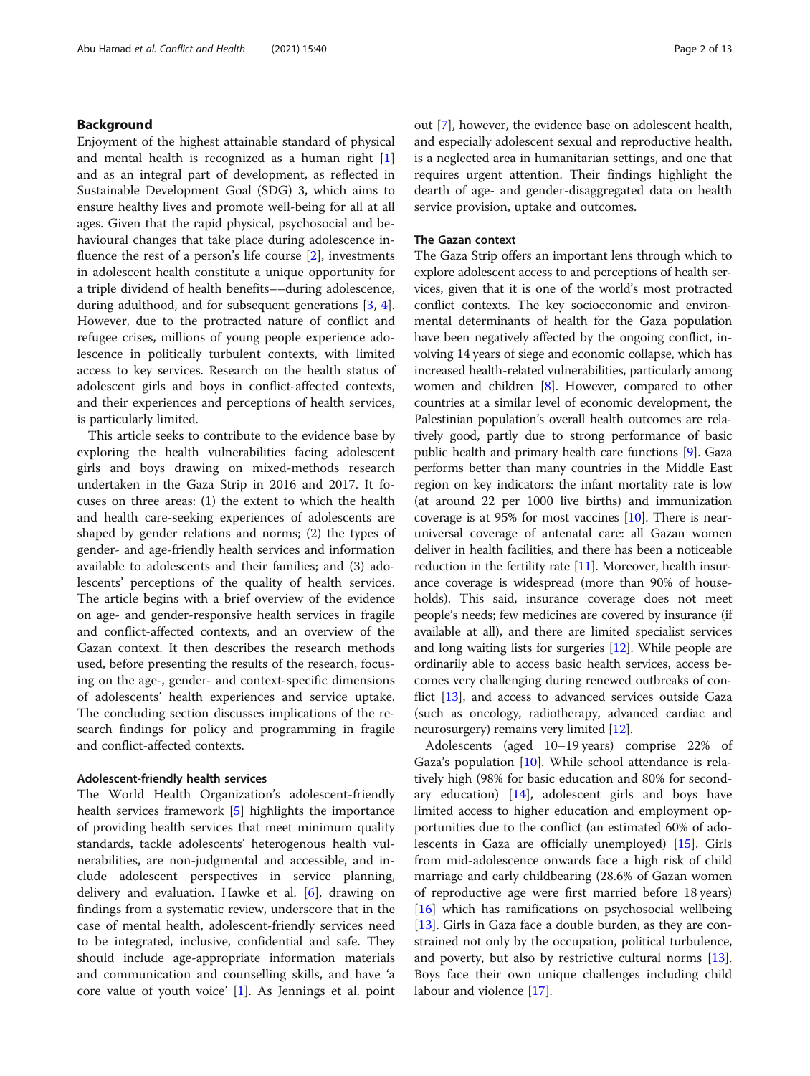## Background

Enjoyment of the highest attainable standard of physical and mental health is recognized as a human right  $[1]$  $[1]$ and as an integral part of development, as reflected in Sustainable Development Goal (SDG) 3, which aims to ensure healthy lives and promote well-being for all at all ages. Given that the rapid physical, psychosocial and behavioural changes that take place during adolescence influence the rest of a person's life course  $[2]$  $[2]$ , investments in adolescent health constitute a unique opportunity for a triple dividend of health benefits––during adolescence, during adulthood, and for subsequent generations [[3,](#page-12-0) [4](#page-12-0)]. However, due to the protracted nature of conflict and refugee crises, millions of young people experience adolescence in politically turbulent contexts, with limited access to key services. Research on the health status of adolescent girls and boys in conflict-affected contexts, and their experiences and perceptions of health services, is particularly limited.

This article seeks to contribute to the evidence base by exploring the health vulnerabilities facing adolescent girls and boys drawing on mixed-methods research undertaken in the Gaza Strip in 2016 and 2017. It focuses on three areas: (1) the extent to which the health and health care-seeking experiences of adolescents are shaped by gender relations and norms; (2) the types of gender- and age-friendly health services and information available to adolescents and their families; and (3) adolescents' perceptions of the quality of health services. The article begins with a brief overview of the evidence on age- and gender-responsive health services in fragile and conflict-affected contexts, and an overview of the Gazan context. It then describes the research methods used, before presenting the results of the research, focusing on the age-, gender- and context-specific dimensions of adolescents' health experiences and service uptake. The concluding section discusses implications of the research findings for policy and programming in fragile and conflict-affected contexts.

## Adolescent-friendly health services

The World Health Organization's adolescent-friendly health services framework [[5\]](#page-12-0) highlights the importance of providing health services that meet minimum quality standards, tackle adolescents' heterogenous health vulnerabilities, are non-judgmental and accessible, and include adolescent perspectives in service planning, delivery and evaluation. Hawke et al. [[6](#page-12-0)], drawing on findings from a systematic review, underscore that in the case of mental health, adolescent-friendly services need to be integrated, inclusive, confidential and safe. They should include age-appropriate information materials and communication and counselling skills, and have 'a core value of youth voice' [[1\]](#page-12-0). As Jennings et al. point out [[7](#page-12-0)], however, the evidence base on adolescent health, and especially adolescent sexual and reproductive health, is a neglected area in humanitarian settings, and one that requires urgent attention. Their findings highlight the dearth of age- and gender-disaggregated data on health service provision, uptake and outcomes.

## The Gazan context

The Gaza Strip offers an important lens through which to explore adolescent access to and perceptions of health services, given that it is one of the world's most protracted conflict contexts. The key socioeconomic and environmental determinants of health for the Gaza population have been negatively affected by the ongoing conflict, involving 14 years of siege and economic collapse, which has increased health-related vulnerabilities, particularly among women and children [[8](#page-12-0)]. However, compared to other countries at a similar level of economic development, the Palestinian population's overall health outcomes are relatively good, partly due to strong performance of basic public health and primary health care functions [\[9](#page-12-0)]. Gaza performs better than many countries in the Middle East region on key indicators: the infant mortality rate is low (at around 22 per 1000 live births) and immunization coverage is at 95% for most vaccines [\[10\]](#page-12-0). There is nearuniversal coverage of antenatal care: all Gazan women deliver in health facilities, and there has been a noticeable reduction in the fertility rate [\[11\]](#page-12-0). Moreover, health insurance coverage is widespread (more than 90% of households). This said, insurance coverage does not meet people's needs; few medicines are covered by insurance (if available at all), and there are limited specialist services and long waiting lists for surgeries [\[12\]](#page-12-0). While people are ordinarily able to access basic health services, access becomes very challenging during renewed outbreaks of con-flict [\[13](#page-12-0)], and access to advanced services outside Gaza (such as oncology, radiotherapy, advanced cardiac and neurosurgery) remains very limited [[12](#page-12-0)].

Adolescents (aged 10–19 years) comprise 22% of Gaza's population [\[10](#page-12-0)]. While school attendance is relatively high (98% for basic education and 80% for secondary education) [\[14\]](#page-12-0), adolescent girls and boys have limited access to higher education and employment opportunities due to the conflict (an estimated 60% of adolescents in Gaza are officially unemployed) [[15](#page-12-0)]. Girls from mid-adolescence onwards face a high risk of child marriage and early childbearing (28.6% of Gazan women of reproductive age were first married before 18 years) [[16\]](#page-12-0) which has ramifications on psychosocial wellbeing [[13\]](#page-12-0). Girls in Gaza face a double burden, as they are constrained not only by the occupation, political turbulence, and poverty, but also by restrictive cultural norms [\[13](#page-12-0)]. Boys face their own unique challenges including child labour and violence [\[17](#page-12-0)].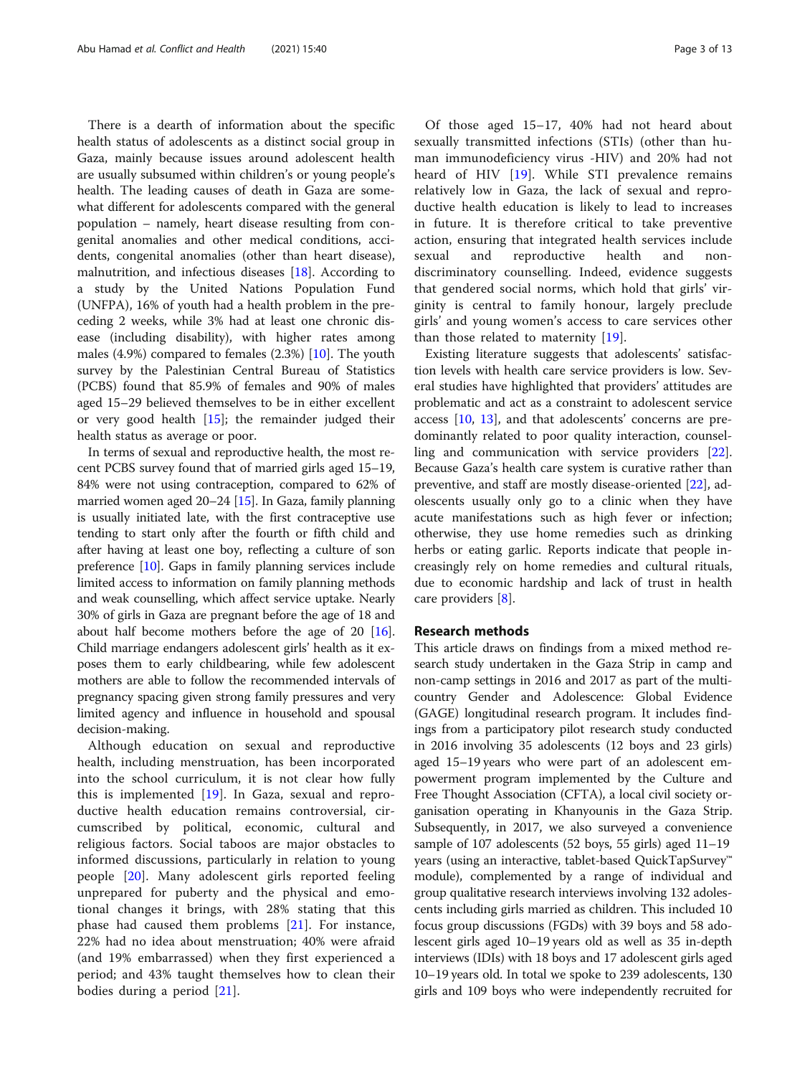There is a dearth of information about the specific health status of adolescents as a distinct social group in Gaza, mainly because issues around adolescent health are usually subsumed within children's or young people's health. The leading causes of death in Gaza are somewhat different for adolescents compared with the general population – namely, heart disease resulting from congenital anomalies and other medical conditions, accidents, congenital anomalies (other than heart disease), malnutrition, and infectious diseases [[18](#page-12-0)]. According to a study by the United Nations Population Fund (UNFPA), 16% of youth had a health problem in the preceding 2 weeks, while 3% had at least one chronic disease (including disability), with higher rates among males (4.9%) compared to females (2.3%) [\[10\]](#page-12-0). The youth survey by the Palestinian Central Bureau of Statistics (PCBS) found that 85.9% of females and 90% of males aged 15–29 believed themselves to be in either excellent or very good health [[15](#page-12-0)]; the remainder judged their health status as average or poor.

In terms of sexual and reproductive health, the most recent PCBS survey found that of married girls aged 15–19, 84% were not using contraception, compared to 62% of married women aged 20–24 [\[15\]](#page-12-0). In Gaza, family planning is usually initiated late, with the first contraceptive use tending to start only after the fourth or fifth child and after having at least one boy, reflecting a culture of son preference [[10](#page-12-0)]. Gaps in family planning services include limited access to information on family planning methods and weak counselling, which affect service uptake. Nearly 30% of girls in Gaza are pregnant before the age of 18 and about half become mothers before the age of 20 [[16](#page-12-0)]. Child marriage endangers adolescent girls' health as it exposes them to early childbearing, while few adolescent mothers are able to follow the recommended intervals of pregnancy spacing given strong family pressures and very limited agency and influence in household and spousal decision-making.

Although education on sexual and reproductive health, including menstruation, has been incorporated into the school curriculum, it is not clear how fully this is implemented [\[19](#page-12-0)]. In Gaza, sexual and reproductive health education remains controversial, circumscribed by political, economic, cultural and religious factors. Social taboos are major obstacles to informed discussions, particularly in relation to young people [[20\]](#page-12-0). Many adolescent girls reported feeling unprepared for puberty and the physical and emotional changes it brings, with 28% stating that this phase had caused them problems [[21\]](#page-12-0). For instance, 22% had no idea about menstruation; 40% were afraid (and 19% embarrassed) when they first experienced a period; and 43% taught themselves how to clean their bodies during a period [[21\]](#page-12-0).

Of those aged 15–17, 40% had not heard about sexually transmitted infections (STIs) (other than human immunodeficiency virus -HIV) and 20% had not heard of HIV [[19](#page-12-0)]. While STI prevalence remains relatively low in Gaza, the lack of sexual and reproductive health education is likely to lead to increases in future. It is therefore critical to take preventive action, ensuring that integrated health services include sexual and reproductive health and nondiscriminatory counselling. Indeed, evidence suggests that gendered social norms, which hold that girls' virginity is central to family honour, largely preclude girls' and young women's access to care services other than those related to maternity  $[19]$  $[19]$ .

Existing literature suggests that adolescents' satisfaction levels with health care service providers is low. Several studies have highlighted that providers' attitudes are problematic and act as a constraint to adolescent service access [\[10,](#page-12-0) [13](#page-12-0)], and that adolescents' concerns are predominantly related to poor quality interaction, counselling and communication with service providers [\[22](#page-12-0)]. Because Gaza's health care system is curative rather than preventive, and staff are mostly disease-oriented [\[22](#page-12-0)], adolescents usually only go to a clinic when they have acute manifestations such as high fever or infection; otherwise, they use home remedies such as drinking herbs or eating garlic. Reports indicate that people increasingly rely on home remedies and cultural rituals, due to economic hardship and lack of trust in health care providers [[8\]](#page-12-0).

## Research methods

This article draws on findings from a mixed method research study undertaken in the Gaza Strip in camp and non-camp settings in 2016 and 2017 as part of the multicountry Gender and Adolescence: Global Evidence (GAGE) longitudinal research program. It includes findings from a participatory pilot research study conducted in 2016 involving 35 adolescents (12 boys and 23 girls) aged 15–19 years who were part of an adolescent empowerment program implemented by the Culture and Free Thought Association (CFTA), a local civil society organisation operating in Khanyounis in the Gaza Strip. Subsequently, in 2017, we also surveyed a convenience sample of 107 adolescents (52 boys, 55 girls) aged 11–19 years (using an interactive, tablet-based QuickTapSurvey™ module), complemented by a range of individual and group qualitative research interviews involving 132 adolescents including girls married as children. This included 10 focus group discussions (FGDs) with 39 boys and 58 adolescent girls aged 10–19 years old as well as 35 in-depth interviews (IDIs) with 18 boys and 17 adolescent girls aged 10–19 years old. In total we spoke to 239 adolescents, 130 girls and 109 boys who were independently recruited for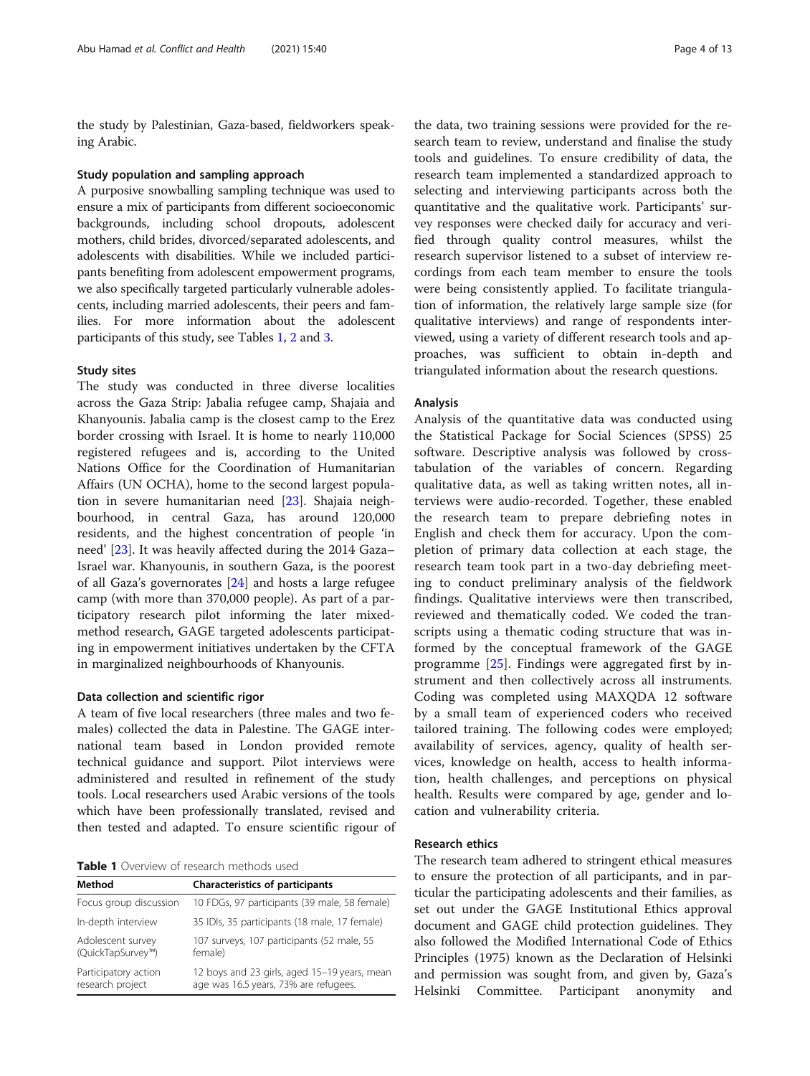the study by Palestinian, Gaza-based, fieldworkers speaking Arabic.

#### Study population and sampling approach

A purposive snowballing sampling technique was used to ensure a mix of participants from different socioeconomic backgrounds, including school dropouts, adolescent mothers, child brides, divorced/separated adolescents, and adolescents with disabilities. While we included participants benefiting from adolescent empowerment programs, we also specifically targeted particularly vulnerable adolescents, including married adolescents, their peers and families. For more information about the adolescent participants of this study, see Tables 1, [2](#page-4-0) and [3.](#page-4-0)

## Study sites

The study was conducted in three diverse localities across the Gaza Strip: Jabalia refugee camp, Shajaia and Khanyounis. Jabalia camp is the closest camp to the Erez border crossing with Israel. It is home to nearly 110,000 registered refugees and is, according to the United Nations Office for the Coordination of Humanitarian Affairs (UN OCHA), home to the second largest population in severe humanitarian need [\[23](#page-12-0)]. Shajaia neighbourhood, in central Gaza, has around 120,000 residents, and the highest concentration of people 'in need' [\[23](#page-12-0)]. It was heavily affected during the 2014 Gaza– Israel war. Khanyounis, in southern Gaza, is the poorest of all Gaza's governorates [[24\]](#page-12-0) and hosts a large refugee camp (with more than 370,000 people). As part of a participatory research pilot informing the later mixedmethod research, GAGE targeted adolescents participating in empowerment initiatives undertaken by the CFTA in marginalized neighbourhoods of Khanyounis.

## Data collection and scientific rigor

A team of five local researchers (three males and two females) collected the data in Palestine. The GAGE international team based in London provided remote technical guidance and support. Pilot interviews were administered and resulted in refinement of the study tools. Local researchers used Arabic versions of the tools which have been professionally translated, revised and then tested and adapted. To ensure scientific rigour of

Table 1 Overview of research methods used

| Method                                   | <b>Characteristics of participants</b>                                                |
|------------------------------------------|---------------------------------------------------------------------------------------|
| Focus group discussion                   | 10 FDGs, 97 participants (39 male, 58 female)                                         |
| In-depth interview                       | 35 IDIs, 35 participants (18 male, 17 female)                                         |
| Adolescent survey<br>(QuickTapSurvey™)   | 107 surveys, 107 participants (52 male, 55<br>female)                                 |
| Participatory action<br>research project | 12 boys and 23 girls, aged 15-19 years, mean<br>age was 16.5 years, 73% are refugees. |

the data, two training sessions were provided for the research team to review, understand and finalise the study tools and guidelines. To ensure credibility of data, the research team implemented a standardized approach to selecting and interviewing participants across both the quantitative and the qualitative work. Participants' survey responses were checked daily for accuracy and verified through quality control measures, whilst the research supervisor listened to a subset of interview recordings from each team member to ensure the tools were being consistently applied. To facilitate triangulation of information, the relatively large sample size (for qualitative interviews) and range of respondents interviewed, using a variety of different research tools and approaches, was sufficient to obtain in-depth and triangulated information about the research questions.

## Analysis

Analysis of the quantitative data was conducted using the Statistical Package for Social Sciences (SPSS) 25 software. Descriptive analysis was followed by crosstabulation of the variables of concern. Regarding qualitative data, as well as taking written notes, all interviews were audio-recorded. Together, these enabled the research team to prepare debriefing notes in English and check them for accuracy. Upon the completion of primary data collection at each stage, the research team took part in a two-day debriefing meeting to conduct preliminary analysis of the fieldwork findings. Qualitative interviews were then transcribed, reviewed and thematically coded. We coded the transcripts using a thematic coding structure that was informed by the conceptual framework of the GAGE programme [[25](#page-12-0)]. Findings were aggregated first by instrument and then collectively across all instruments. Coding was completed using MAXQDA 12 software by a small team of experienced coders who received tailored training. The following codes were employed; availability of services, agency, quality of health services, knowledge on health, access to health information, health challenges, and perceptions on physical health. Results were compared by age, gender and location and vulnerability criteria.

## Research ethics

The research team adhered to stringent ethical measures to ensure the protection of all participants, and in particular the participating adolescents and their families, as set out under the GAGE Institutional Ethics approval document and GAGE child protection guidelines. They also followed the Modified International Code of Ethics Principles (1975) known as the Declaration of Helsinki and permission was sought from, and given by, Gaza's Helsinki Committee. Participant anonymity and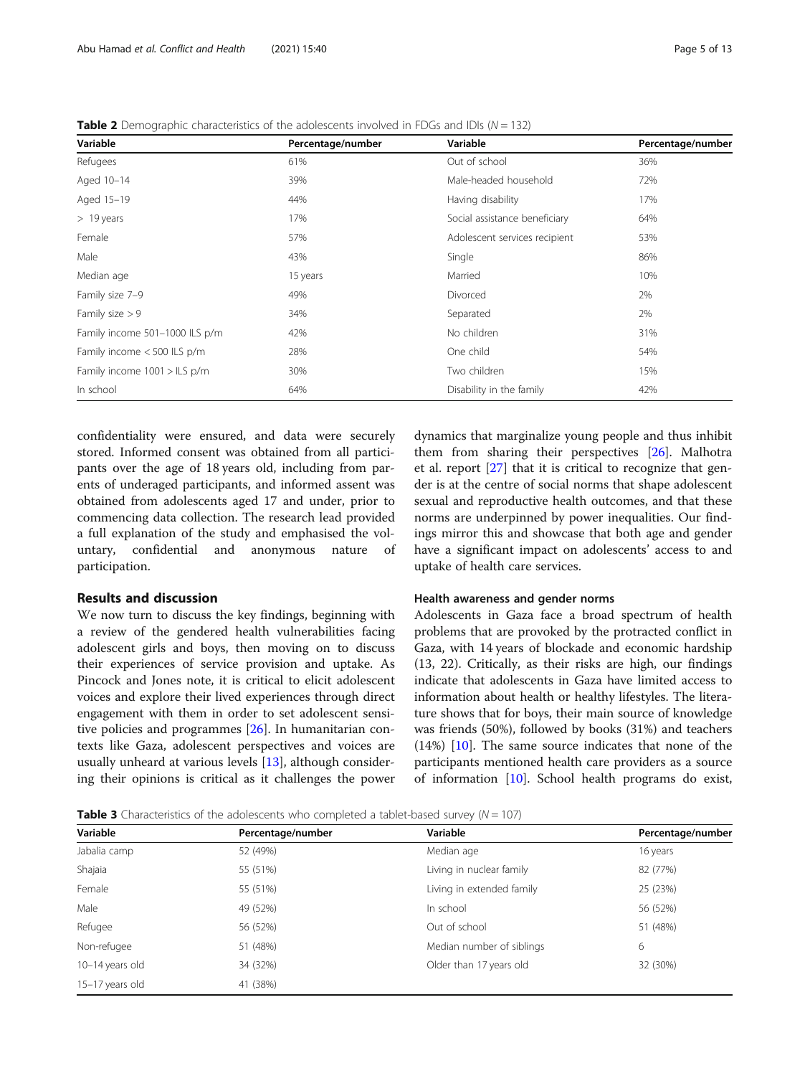| Variable                       | Percentage/number | Variable                      | Percentage/number |
|--------------------------------|-------------------|-------------------------------|-------------------|
| Refugees                       | 61%               | Out of school                 | 36%               |
| Aged 10-14                     | 39%               | Male-headed household         | 72%               |
| Aged 15-19                     | 44%               | Having disability             | 17%               |
| $>19$ years                    | 17%               | Social assistance beneficiary | 64%               |
| Female                         | 57%               | Adolescent services recipient | 53%               |
| Male                           | 43%               | Single                        | 86%               |
| Median age                     | 15 years          | Married                       | 10%               |
| Family size 7-9                | 49%               | Divorced                      | 2%                |
| Family size $> 9$              | 34%               | Separated                     | 2%                |
| Family income 501-1000 ILS p/m | 42%               | No children                   | 31%               |
| Family income < 500 ILS p/m    | 28%               | One child                     | 54%               |
| Family income 1001 > ILS p/m   | 30%               | Two children                  | 15%               |
| In school                      | 64%               | Disability in the family      | 42%               |

<span id="page-4-0"></span>**Table 2** Demographic characteristics of the adolescents involved in FDGs and IDIs ( $N = 132$ )

confidentiality were ensured, and data were securely stored. Informed consent was obtained from all participants over the age of 18 years old, including from parents of underaged participants, and informed assent was obtained from adolescents aged 17 and under, prior to commencing data collection. The research lead provided a full explanation of the study and emphasised the voluntary, confidential and anonymous nature of participation.

## Results and discussion

We now turn to discuss the key findings, beginning with a review of the gendered health vulnerabilities facing adolescent girls and boys, then moving on to discuss their experiences of service provision and uptake. As Pincock and Jones note, it is critical to elicit adolescent voices and explore their lived experiences through direct engagement with them in order to set adolescent sensitive policies and programmes [[26\]](#page-12-0). In humanitarian contexts like Gaza, adolescent perspectives and voices are usually unheard at various levels [[13](#page-12-0)], although considering their opinions is critical as it challenges the power

dynamics that marginalize young people and thus inhibit them from sharing their perspectives [\[26](#page-12-0)]. Malhotra et al. report [\[27](#page-12-0)] that it is critical to recognize that gender is at the centre of social norms that shape adolescent sexual and reproductive health outcomes, and that these norms are underpinned by power inequalities. Our findings mirror this and showcase that both age and gender have a significant impact on adolescents' access to and uptake of health care services.

## Health awareness and gender norms

Adolescents in Gaza face a broad spectrum of health problems that are provoked by the protracted conflict in Gaza, with 14 years of blockade and economic hardship (13, 22). Critically, as their risks are high, our findings indicate that adolescents in Gaza have limited access to information about health or healthy lifestyles. The literature shows that for boys, their main source of knowledge was friends (50%), followed by books (31%) and teachers  $(14%)$  [[10\]](#page-12-0). The same source indicates that none of the participants mentioned health care providers as a source of information [[10\]](#page-12-0). School health programs do exist,

**Table 3** Characteristics of the adolescents who completed a tablet-based survey ( $N = 107$ )

| Variable        | Percentage/number | Variable                  | Percentage/number |
|-----------------|-------------------|---------------------------|-------------------|
| Jabalia camp    | 52 (49%)          | Median age                | 16 years          |
| Shajaia         | 55 (51%)          | Living in nuclear family  | 82 (77%)          |
| Female          | 55 (51%)          | Living in extended family | 25 (23%)          |
| Male            | 49 (52%)          | In school                 | 56 (52%)          |
| Refugee         | 56 (52%)          | Out of school             | 51 (48%)          |
| Non-refugee     | 51 (48%)          | Median number of siblings | 6                 |
| 10-14 years old | 34 (32%)          | Older than 17 years old   | 32 (30%)          |
| 15-17 years old | 41 (38%)          |                           |                   |
|                 |                   |                           |                   |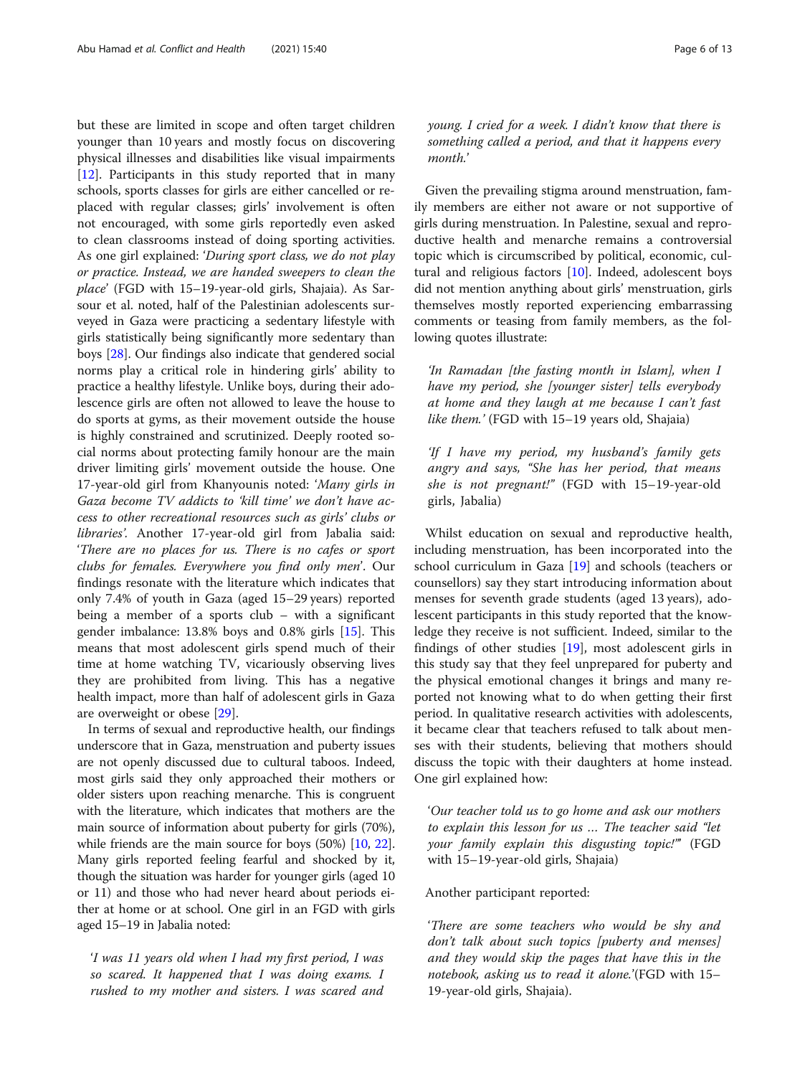but these are limited in scope and often target children younger than 10 years and mostly focus on discovering physical illnesses and disabilities like visual impairments [[12\]](#page-12-0). Participants in this study reported that in many schools, sports classes for girls are either cancelled or replaced with regular classes; girls' involvement is often not encouraged, with some girls reportedly even asked to clean classrooms instead of doing sporting activities. As one girl explained: 'During sport class, we do not play or practice. Instead, we are handed sweepers to clean the place' (FGD with 15–19-year-old girls, Shajaia). As Sarsour et al. noted, half of the Palestinian adolescents surveyed in Gaza were practicing a sedentary lifestyle with girls statistically being significantly more sedentary than boys [\[28](#page-12-0)]. Our findings also indicate that gendered social norms play a critical role in hindering girls' ability to practice a healthy lifestyle. Unlike boys, during their adolescence girls are often not allowed to leave the house to do sports at gyms, as their movement outside the house is highly constrained and scrutinized. Deeply rooted social norms about protecting family honour are the main driver limiting girls' movement outside the house. One 17-year-old girl from Khanyounis noted: 'Many girls in Gaza become TV addicts to 'kill time' we don't have access to other recreational resources such as girls' clubs or libraries'. Another 17-year-old girl from Jabalia said: 'There are no places for us. There is no cafes or sport clubs for females. Everywhere you find only men'. Our findings resonate with the literature which indicates that only 7.4% of youth in Gaza (aged 15–29 years) reported being a member of a sports club – with a significant gender imbalance: 13.8% boys and 0.8% girls [\[15\]](#page-12-0). This means that most adolescent girls spend much of their time at home watching TV, vicariously observing lives they are prohibited from living. This has a negative health impact, more than half of adolescent girls in Gaza are overweight or obese [\[29](#page-12-0)].

In terms of sexual and reproductive health, our findings underscore that in Gaza, menstruation and puberty issues are not openly discussed due to cultural taboos. Indeed, most girls said they only approached their mothers or older sisters upon reaching menarche. This is congruent with the literature, which indicates that mothers are the main source of information about puberty for girls (70%), while friends are the main source for boys (50%) [[10](#page-12-0), [22](#page-12-0)]. Many girls reported feeling fearful and shocked by it, though the situation was harder for younger girls (aged 10 or 11) and those who had never heard about periods either at home or at school. One girl in an FGD with girls aged 15–19 in Jabalia noted:

'I was 11 years old when I had my first period, I was so scared. It happened that I was doing exams. I rushed to my mother and sisters. I was scared and young. I cried for a week. I didn't know that there is something called a period, and that it happens every month.'

Given the prevailing stigma around menstruation, family members are either not aware or not supportive of girls during menstruation. In Palestine, sexual and reproductive health and menarche remains a controversial topic which is circumscribed by political, economic, cultural and religious factors  $[10]$ . Indeed, adolescent boys did not mention anything about girls' menstruation, girls themselves mostly reported experiencing embarrassing comments or teasing from family members, as the following quotes illustrate:

'In Ramadan [the fasting month in Islam], when I have my period, she [younger sister] tells everybody at home and they laugh at me because I can't fast like them.' (FGD with 15–19 years old, Shajaia)

'If I have my period, my husband's family gets angry and says, "She has her period, that means she is not pregnant!" (FGD with 15–19-year-old girls, Jabalia)

Whilst education on sexual and reproductive health, including menstruation, has been incorporated into the school curriculum in Gaza [\[19](#page-12-0)] and schools (teachers or counsellors) say they start introducing information about menses for seventh grade students (aged 13 years), adolescent participants in this study reported that the knowledge they receive is not sufficient. Indeed, similar to the findings of other studies  $[19]$  $[19]$ , most adolescent girls in this study say that they feel unprepared for puberty and the physical emotional changes it brings and many reported not knowing what to do when getting their first period. In qualitative research activities with adolescents, it became clear that teachers refused to talk about menses with their students, believing that mothers should discuss the topic with their daughters at home instead. One girl explained how:

'Our teacher told us to go home and ask our mothers to explain this lesson for us … The teacher said "let your family explain this disgusting topic!"' (FGD with 15–19-year-old girls, Shajaia)

## Another participant reported:

'There are some teachers who would be shy and don't talk about such topics [puberty and menses] and they would skip the pages that have this in the notebook, asking us to read it alone.'(FGD with 15– 19-year-old girls, Shajaia).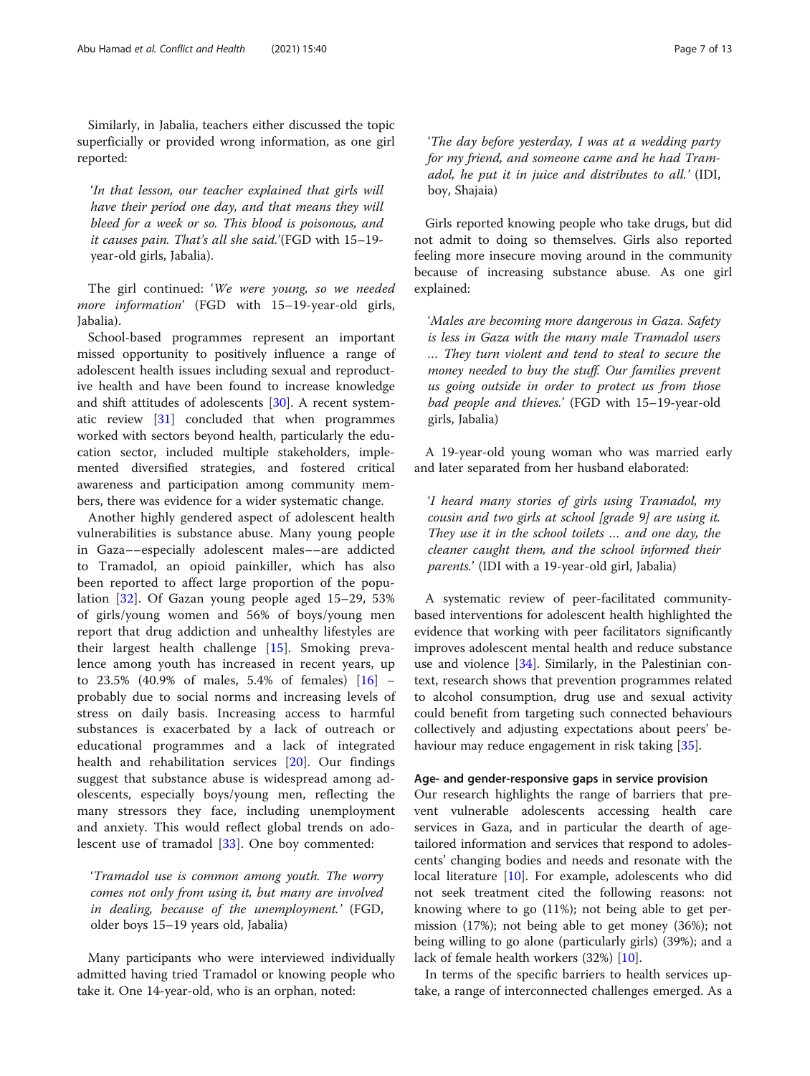Similarly, in Jabalia, teachers either discussed the topic superficially or provided wrong information, as one girl reported:

'In that lesson, our teacher explained that girls will have their period one day, and that means they will bleed for a week or so. This blood is poisonous, and it causes pain. That's all she said.'(FGD with 15–19 year-old girls, Jabalia).

The girl continued: 'We were young, so we needed more information' (FGD with 15-19-year-old girls, Jabalia).

School-based programmes represent an important missed opportunity to positively influence a range of adolescent health issues including sexual and reproductive health and have been found to increase knowledge and shift attitudes of adolescents [[30\]](#page-12-0). A recent systematic review [[31\]](#page-12-0) concluded that when programmes worked with sectors beyond health, particularly the education sector, included multiple stakeholders, implemented diversified strategies, and fostered critical awareness and participation among community members, there was evidence for a wider systematic change.

Another highly gendered aspect of adolescent health vulnerabilities is substance abuse. Many young people in Gaza––especially adolescent males––are addicted to Tramadol, an opioid painkiller, which has also been reported to affect large proportion of the population [\[32](#page-12-0)]. Of Gazan young people aged 15–29, 53% of girls/young women and 56% of boys/young men report that drug addiction and unhealthy lifestyles are their largest health challenge [[15\]](#page-12-0). Smoking prevalence among youth has increased in recent years, up to 23.5% (40.9% of males, 5.4% of females) [\[16](#page-12-0)] – probably due to social norms and increasing levels of stress on daily basis. Increasing access to harmful substances is exacerbated by a lack of outreach or educational programmes and a lack of integrated health and rehabilitation services [[20\]](#page-12-0). Our findings suggest that substance abuse is widespread among adolescents, especially boys/young men, reflecting the many stressors they face, including unemployment and anxiety. This would reflect global trends on adolescent use of tramadol [[33\]](#page-12-0). One boy commented:

'Tramadol use is common among youth. The worry comes not only from using it, but many are involved in dealing, because of the unemployment.' (FGD, older boys 15–19 years old, Jabalia)

Many participants who were interviewed individually admitted having tried Tramadol or knowing people who take it. One 14-year-old, who is an orphan, noted:

'The day before yesterday, I was at a wedding party for my friend, and someone came and he had Tramadol, he put it in juice and distributes to all.' (IDI, boy, Shajaia)

Girls reported knowing people who take drugs, but did not admit to doing so themselves. Girls also reported feeling more insecure moving around in the community because of increasing substance abuse. As one girl explained:

'Males are becoming more dangerous in Gaza. Safety is less in Gaza with the many male Tramadol users … They turn violent and tend to steal to secure the money needed to buy the stuff. Our families prevent us going outside in order to protect us from those bad people and thieves.' (FGD with 15–19-year-old girls, Jabalia)

A 19-year-old young woman who was married early and later separated from her husband elaborated:

'I heard many stories of girls using Tramadol, my cousin and two girls at school [grade 9] are using it. They use it in the school toilets … and one day, the cleaner caught them, and the school informed their parents.' (IDI with a 19-year-old girl, Jabalia)

A systematic review of peer-facilitated communitybased interventions for adolescent health highlighted the evidence that working with peer facilitators significantly improves adolescent mental health and reduce substance use and violence [[34\]](#page-12-0). Similarly, in the Palestinian context, research shows that prevention programmes related to alcohol consumption, drug use and sexual activity could benefit from targeting such connected behaviours collectively and adjusting expectations about peers' be-haviour may reduce engagement in risk taking [[35\]](#page-12-0).

## Age- and gender-responsive gaps in service provision

Our research highlights the range of barriers that prevent vulnerable adolescents accessing health care services in Gaza, and in particular the dearth of agetailored information and services that respond to adolescents' changing bodies and needs and resonate with the local literature [\[10](#page-12-0)]. For example, adolescents who did not seek treatment cited the following reasons: not knowing where to go (11%); not being able to get permission (17%); not being able to get money (36%); not being willing to go alone (particularly girls) (39%); and a lack of female health workers (32%) [\[10\]](#page-12-0).

In terms of the specific barriers to health services uptake, a range of interconnected challenges emerged. As a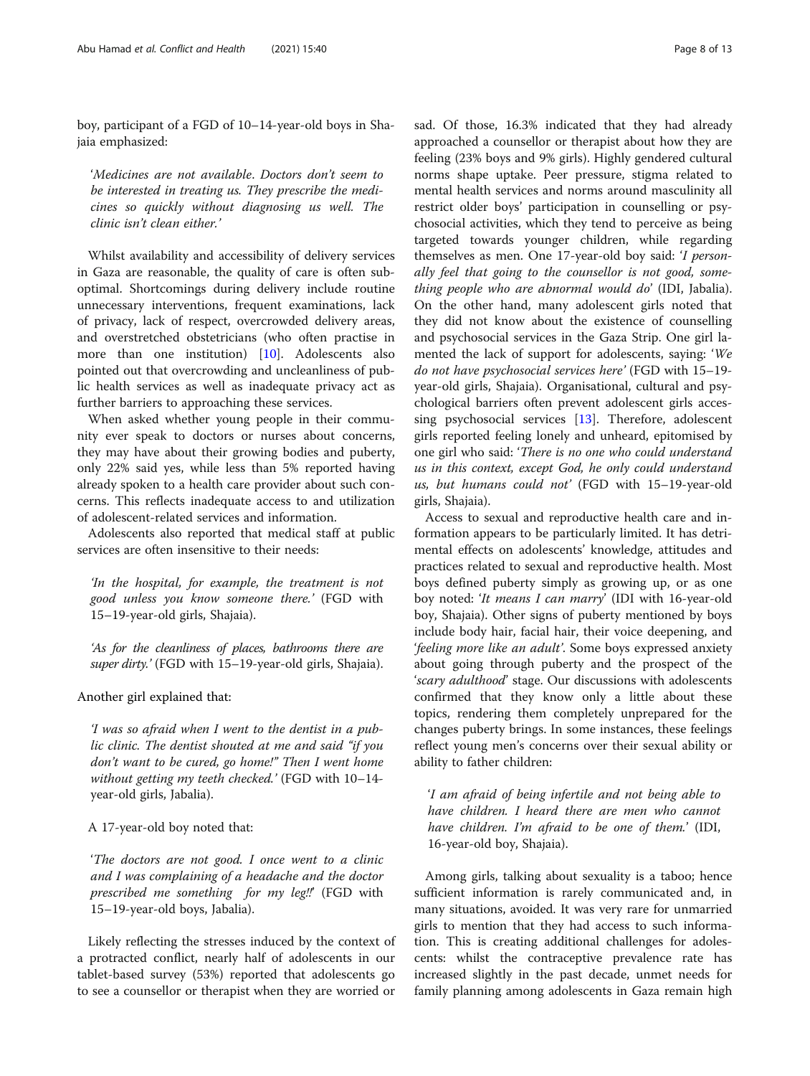boy, participant of a FGD of 10–14-year-old boys in Shajaia emphasized:

'Medicines are not available. Doctors don't seem to be interested in treating us. They prescribe the medicines so quickly without diagnosing us well. The clinic isn't clean either.'

Whilst availability and accessibility of delivery services in Gaza are reasonable, the quality of care is often suboptimal. Shortcomings during delivery include routine unnecessary interventions, frequent examinations, lack of privacy, lack of respect, overcrowded delivery areas, and overstretched obstetricians (who often practise in more than one institution) [[10](#page-12-0)]. Adolescents also pointed out that overcrowding and uncleanliness of public health services as well as inadequate privacy act as further barriers to approaching these services.

When asked whether young people in their community ever speak to doctors or nurses about concerns, they may have about their growing bodies and puberty, only 22% said yes, while less than 5% reported having already spoken to a health care provider about such concerns. This reflects inadequate access to and utilization of adolescent-related services and information.

Adolescents also reported that medical staff at public services are often insensitive to their needs:

'In the hospital, for example, the treatment is not good unless you know someone there.' (FGD with 15–19-year-old girls, Shajaia).

'As for the cleanliness of places, bathrooms there are super dirty.' (FGD with 15–19-year-old girls, Shajaia).

Another girl explained that:

'I was so afraid when I went to the dentist in a public clinic. The dentist shouted at me and said "if you don't want to be cured, go home!" Then I went home without getting my teeth checked.' (FGD with 10–14 year-old girls, Jabalia).

## A 17-year-old boy noted that:

'The doctors are not good. I once went to a clinic and I was complaining of a headache and the doctor prescribed me something for my leg!!' (FGD with 15–19-year-old boys, Jabalia).

Likely reflecting the stresses induced by the context of a protracted conflict, nearly half of adolescents in our tablet-based survey (53%) reported that adolescents go to see a counsellor or therapist when they are worried or sad. Of those, 16.3% indicated that they had already approached a counsellor or therapist about how they are feeling (23% boys and 9% girls). Highly gendered cultural norms shape uptake. Peer pressure, stigma related to mental health services and norms around masculinity all restrict older boys' participation in counselling or psychosocial activities, which they tend to perceive as being targeted towards younger children, while regarding themselves as men. One 17-year-old boy said: 'I personally feel that going to the counsellor is not good, something people who are abnormal would do' (IDI, Jabalia). On the other hand, many adolescent girls noted that they did not know about the existence of counselling and psychosocial services in the Gaza Strip. One girl lamented the lack of support for adolescents, saying: 'We do not have psychosocial services here' (FGD with 15–19 year-old girls, Shajaia). Organisational, cultural and psychological barriers often prevent adolescent girls accessing psychosocial services [[13](#page-12-0)]. Therefore, adolescent girls reported feeling lonely and unheard, epitomised by one girl who said: 'There is no one who could understand us in this context, except God, he only could understand us, but humans could not' (FGD with 15–19-year-old girls, Shajaia).

Access to sexual and reproductive health care and information appears to be particularly limited. It has detrimental effects on adolescents' knowledge, attitudes and practices related to sexual and reproductive health. Most boys defined puberty simply as growing up, or as one boy noted: 'It means I can marry' (IDI with 16-year-old boy, Shajaia). Other signs of puberty mentioned by boys include body hair, facial hair, their voice deepening, and 'feeling more like an adult'. Some boys expressed anxiety about going through puberty and the prospect of the 'scary adulthood' stage. Our discussions with adolescents confirmed that they know only a little about these topics, rendering them completely unprepared for the changes puberty brings. In some instances, these feelings reflect young men's concerns over their sexual ability or ability to father children:

'I am afraid of being infertile and not being able to have children. I heard there are men who cannot have children. I'm afraid to be one of them.' (IDI, 16-year-old boy, Shajaia).

Among girls, talking about sexuality is a taboo; hence sufficient information is rarely communicated and, in many situations, avoided. It was very rare for unmarried girls to mention that they had access to such information. This is creating additional challenges for adolescents: whilst the contraceptive prevalence rate has increased slightly in the past decade, unmet needs for family planning among adolescents in Gaza remain high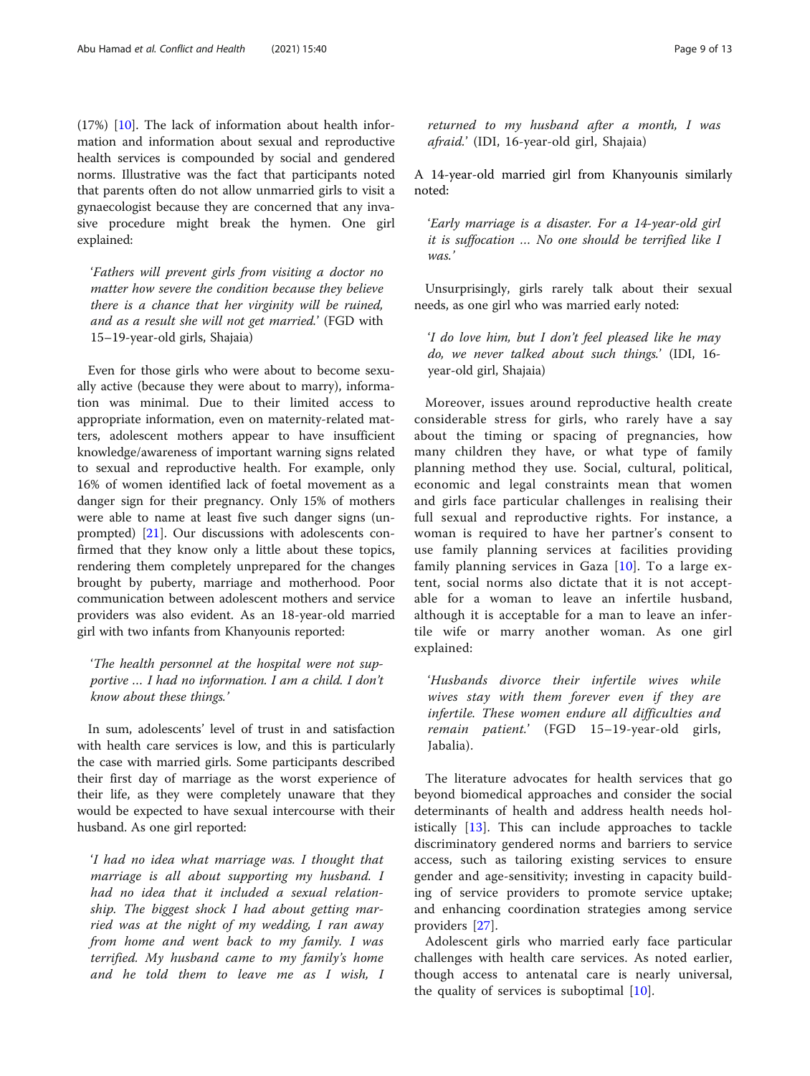(17%) [[10\]](#page-12-0). The lack of information about health information and information about sexual and reproductive health services is compounded by social and gendered norms. Illustrative was the fact that participants noted that parents often do not allow unmarried girls to visit a gynaecologist because they are concerned that any invasive procedure might break the hymen. One girl explained:

'Fathers will prevent girls from visiting a doctor no matter how severe the condition because they believe there is a chance that her virginity will be ruined, and as a result she will not get married.' (FGD with 15–19-year-old girls, Shajaia)

Even for those girls who were about to become sexually active (because they were about to marry), information was minimal. Due to their limited access to appropriate information, even on maternity-related matters, adolescent mothers appear to have insufficient knowledge/awareness of important warning signs related to sexual and reproductive health. For example, only 16% of women identified lack of foetal movement as a danger sign for their pregnancy. Only 15% of mothers were able to name at least five such danger signs (unprompted) [[21\]](#page-12-0). Our discussions with adolescents confirmed that they know only a little about these topics, rendering them completely unprepared for the changes brought by puberty, marriage and motherhood. Poor communication between adolescent mothers and service providers was also evident. As an 18-year-old married girl with two infants from Khanyounis reported:

## 'The health personnel at the hospital were not supportive … I had no information. I am a child. I don't know about these things.'

In sum, adolescents' level of trust in and satisfaction with health care services is low, and this is particularly the case with married girls. Some participants described their first day of marriage as the worst experience of their life, as they were completely unaware that they would be expected to have sexual intercourse with their husband. As one girl reported:

'I had no idea what marriage was. I thought that marriage is all about supporting my husband. I had no idea that it included a sexual relationship. The biggest shock I had about getting married was at the night of my wedding, I ran away from home and went back to my family. I was terrified. My husband came to my family's home and he told them to leave me as I wish, I

returned to my husband after a month, I was afraid.' (IDI, 16-year-old girl, Shajaia)

A 14-year-old married girl from Khanyounis similarly noted:

'Early marriage is a disaster. For a 14-year-old girl it is suffocation … No one should be terrified like I was.'

Unsurprisingly, girls rarely talk about their sexual needs, as one girl who was married early noted:

'I do love him, but I don't feel pleased like he may do, we never talked about such things.' (IDI, 16 year-old girl, Shajaia)

Moreover, issues around reproductive health create considerable stress for girls, who rarely have a say about the timing or spacing of pregnancies, how many children they have, or what type of family planning method they use. Social, cultural, political, economic and legal constraints mean that women and girls face particular challenges in realising their full sexual and reproductive rights. For instance, a woman is required to have her partner's consent to use family planning services at facilities providing family planning services in Gaza [[10](#page-12-0)]. To a large extent, social norms also dictate that it is not acceptable for a woman to leave an infertile husband, although it is acceptable for a man to leave an infertile wife or marry another woman. As one girl explained:

'Husbands divorce their infertile wives while wives stay with them forever even if they are infertile. These women endure all difficulties and remain patient.' (FGD 15–19-year-old girls, Jabalia).

The literature advocates for health services that go beyond biomedical approaches and consider the social determinants of health and address health needs holistically [[13](#page-12-0)]. This can include approaches to tackle discriminatory gendered norms and barriers to service access, such as tailoring existing services to ensure gender and age-sensitivity; investing in capacity building of service providers to promote service uptake; and enhancing coordination strategies among service providers [[27\]](#page-12-0).

Adolescent girls who married early face particular challenges with health care services. As noted earlier, though access to antenatal care is nearly universal, the quality of services is suboptimal [[10](#page-12-0)].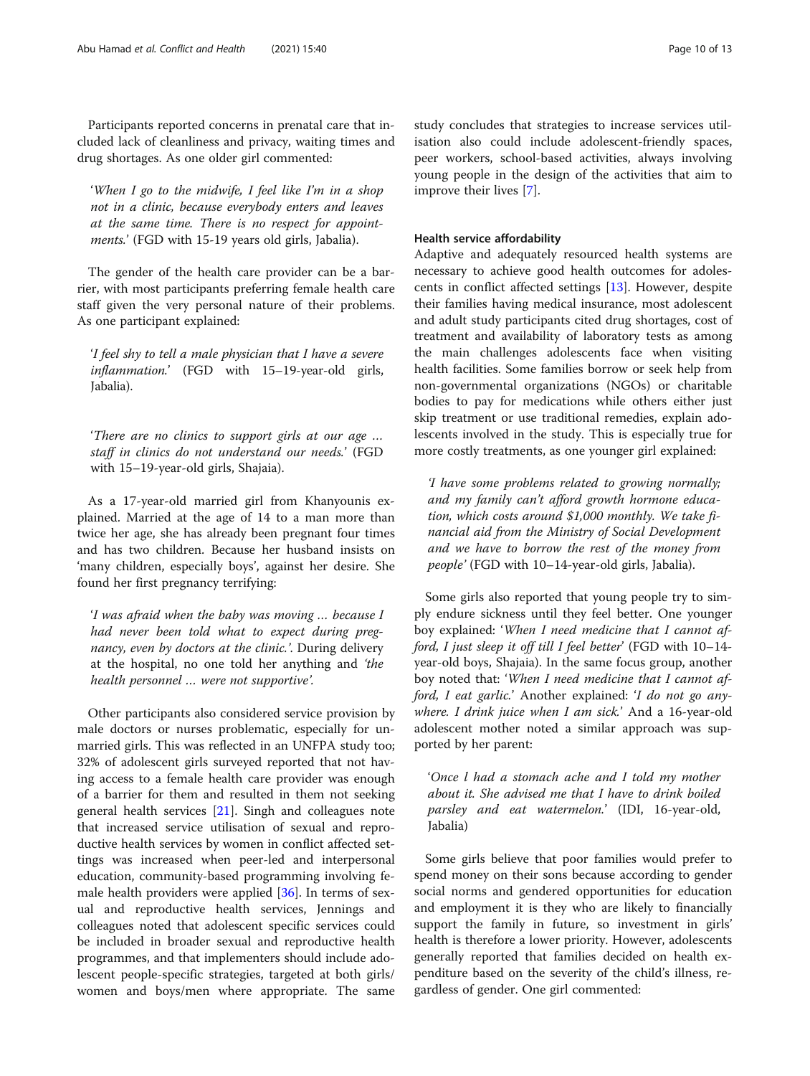Participants reported concerns in prenatal care that included lack of cleanliness and privacy, waiting times and drug shortages. As one older girl commented:

'When I go to the midwife, I feel like I'm in a shop not in a clinic, because everybody enters and leaves at the same time. There is no respect for appointments.' (FGD with 15-19 years old girls, Jabalia).

The gender of the health care provider can be a barrier, with most participants preferring female health care staff given the very personal nature of their problems. As one participant explained:

'I feel shy to tell a male physician that I have a severe inflammation.' (FGD with 15-19-year-old girls, Jabalia).

'There are no clinics to support girls at our age … staff in clinics do not understand our needs.' (FGD with 15–19-year-old girls, Shajaia).

As a 17-year-old married girl from Khanyounis explained. Married at the age of 14 to a man more than twice her age, she has already been pregnant four times and has two children. Because her husband insists on 'many children, especially boys', against her desire. She found her first pregnancy terrifying:

'I was afraid when the baby was moving … because I had never been told what to expect during pregnancy, even by doctors at the clinic.'. During delivery at the hospital, no one told her anything and 'the health personnel … were not supportive'.

Other participants also considered service provision by male doctors or nurses problematic, especially for unmarried girls. This was reflected in an UNFPA study too; 32% of adolescent girls surveyed reported that not having access to a female health care provider was enough of a barrier for them and resulted in them not seeking general health services [[21](#page-12-0)]. Singh and colleagues note that increased service utilisation of sexual and reproductive health services by women in conflict affected settings was increased when peer-led and interpersonal education, community-based programming involving female health providers were applied [[36\]](#page-12-0). In terms of sexual and reproductive health services, Jennings and colleagues noted that adolescent specific services could be included in broader sexual and reproductive health programmes, and that implementers should include adolescent people-specific strategies, targeted at both girls/ women and boys/men where appropriate. The same study concludes that strategies to increase services utilisation also could include adolescent-friendly spaces, peer workers, school-based activities, always involving young people in the design of the activities that aim to improve their lives [\[7](#page-12-0)].

## Health service affordability

Adaptive and adequately resourced health systems are necessary to achieve good health outcomes for adolescents in conflict affected settings [[13](#page-12-0)]. However, despite their families having medical insurance, most adolescent and adult study participants cited drug shortages, cost of treatment and availability of laboratory tests as among the main challenges adolescents face when visiting health facilities. Some families borrow or seek help from non-governmental organizations (NGOs) or charitable bodies to pay for medications while others either just skip treatment or use traditional remedies, explain adolescents involved in the study. This is especially true for more costly treatments, as one younger girl explained:

'I have some problems related to growing normally; and my family can't afford growth hormone education, which costs around \$1,000 monthly. We take financial aid from the Ministry of Social Development and we have to borrow the rest of the money from people' (FGD with 10–14-year-old girls, Jabalia).

Some girls also reported that young people try to simply endure sickness until they feel better. One younger boy explained: 'When I need medicine that I cannot afford, I just sleep it off till I feel better' (FGD with 10–14 year-old boys, Shajaia). In the same focus group, another boy noted that: 'When I need medicine that I cannot afford, I eat garlic.' Another explained: 'I do not go anywhere. I drink juice when I am sick.' And a 16-year-old adolescent mother noted a similar approach was supported by her parent:

'Once l had a stomach ache and I told my mother about it. She advised me that I have to drink boiled parsley and eat watermelon.' (IDI, 16-year-old, Jabalia)

Some girls believe that poor families would prefer to spend money on their sons because according to gender social norms and gendered opportunities for education and employment it is they who are likely to financially support the family in future, so investment in girls' health is therefore a lower priority. However, adolescents generally reported that families decided on health expenditure based on the severity of the child's illness, regardless of gender. One girl commented: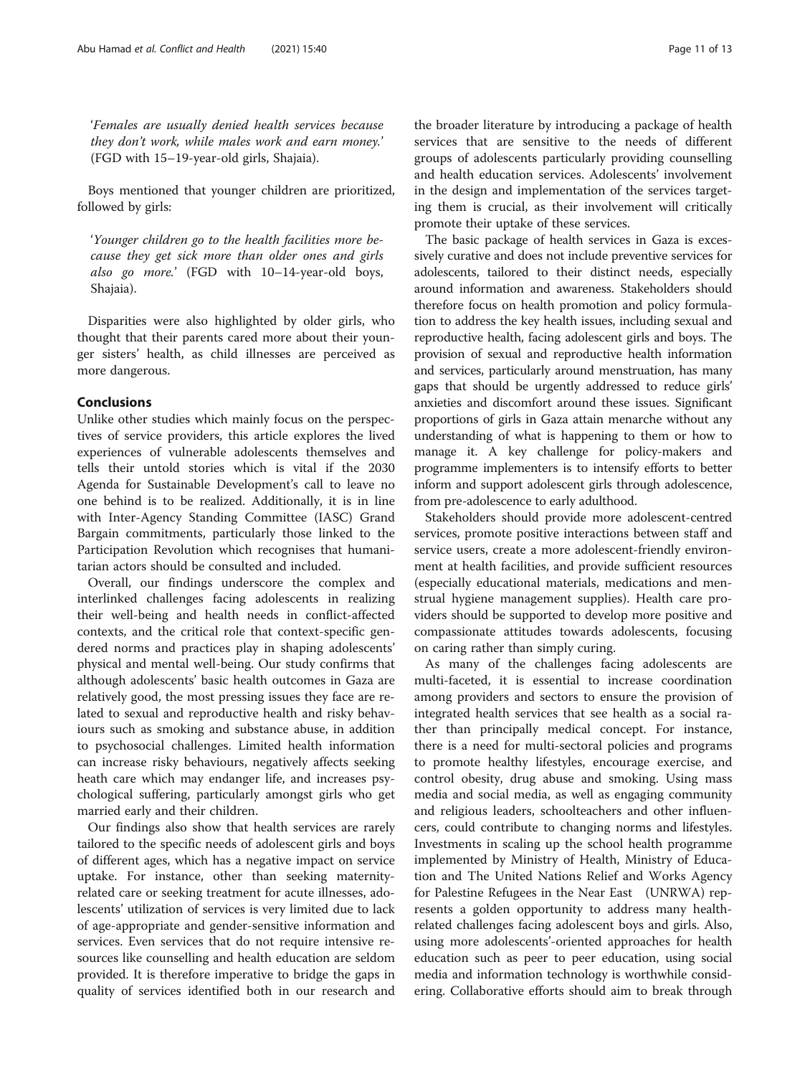'Females are usually denied health services because they don't work, while males work and earn money.' (FGD with 15–19-year-old girls, Shajaia).

Boys mentioned that younger children are prioritized, followed by girls:

'Younger children go to the health facilities more because they get sick more than older ones and girls also go more.' (FGD with 10–14-year-old boys, Shajaia).

Disparities were also highlighted by older girls, who thought that their parents cared more about their younger sisters' health, as child illnesses are perceived as more dangerous.

## Conclusions

Unlike other studies which mainly focus on the perspectives of service providers, this article explores the lived experiences of vulnerable adolescents themselves and tells their untold stories which is vital if the 2030 Agenda for Sustainable Development's call to leave no one behind is to be realized. Additionally, it is in line with Inter-Agency Standing Committee (IASC) Grand Bargain commitments, particularly those linked to the Participation Revolution which recognises that humanitarian actors should be consulted and included.

Overall, our findings underscore the complex and interlinked challenges facing adolescents in realizing their well-being and health needs in conflict-affected contexts, and the critical role that context-specific gendered norms and practices play in shaping adolescents' physical and mental well-being. Our study confirms that although adolescents' basic health outcomes in Gaza are relatively good, the most pressing issues they face are related to sexual and reproductive health and risky behaviours such as smoking and substance abuse, in addition to psychosocial challenges. Limited health information can increase risky behaviours, negatively affects seeking heath care which may endanger life, and increases psychological suffering, particularly amongst girls who get married early and their children.

Our findings also show that health services are rarely tailored to the specific needs of adolescent girls and boys of different ages, which has a negative impact on service uptake. For instance, other than seeking maternityrelated care or seeking treatment for acute illnesses, adolescents' utilization of services is very limited due to lack of age-appropriate and gender-sensitive information and services. Even services that do not require intensive resources like counselling and health education are seldom provided. It is therefore imperative to bridge the gaps in quality of services identified both in our research and

the broader literature by introducing a package of health services that are sensitive to the needs of different groups of adolescents particularly providing counselling and health education services. Adolescents' involvement in the design and implementation of the services targeting them is crucial, as their involvement will critically promote their uptake of these services.

The basic package of health services in Gaza is excessively curative and does not include preventive services for adolescents, tailored to their distinct needs, especially around information and awareness. Stakeholders should therefore focus on health promotion and policy formulation to address the key health issues, including sexual and reproductive health, facing adolescent girls and boys. The provision of sexual and reproductive health information and services, particularly around menstruation, has many gaps that should be urgently addressed to reduce girls' anxieties and discomfort around these issues. Significant proportions of girls in Gaza attain menarche without any understanding of what is happening to them or how to manage it. A key challenge for policy-makers and programme implementers is to intensify efforts to better inform and support adolescent girls through adolescence, from pre-adolescence to early adulthood.

Stakeholders should provide more adolescent-centred services, promote positive interactions between staff and service users, create a more adolescent-friendly environment at health facilities, and provide sufficient resources (especially educational materials, medications and menstrual hygiene management supplies). Health care providers should be supported to develop more positive and compassionate attitudes towards adolescents, focusing on caring rather than simply curing.

As many of the challenges facing adolescents are multi-faceted, it is essential to increase coordination among providers and sectors to ensure the provision of integrated health services that see health as a social rather than principally medical concept. For instance, there is a need for multi-sectoral policies and programs to promote healthy lifestyles, encourage exercise, and control obesity, drug abuse and smoking. Using mass media and social media, as well as engaging community and religious leaders, schoolteachers and other influencers, could contribute to changing norms and lifestyles. Investments in scaling up the school health programme implemented by Ministry of Health, Ministry of Education and The United Nations Relief and Works Agency for Palestine Refugees in the Near East (UNRWA) represents a golden opportunity to address many healthrelated challenges facing adolescent boys and girls. Also, using more adolescents'-oriented approaches for health education such as peer to peer education, using social media and information technology is worthwhile considering. Collaborative efforts should aim to break through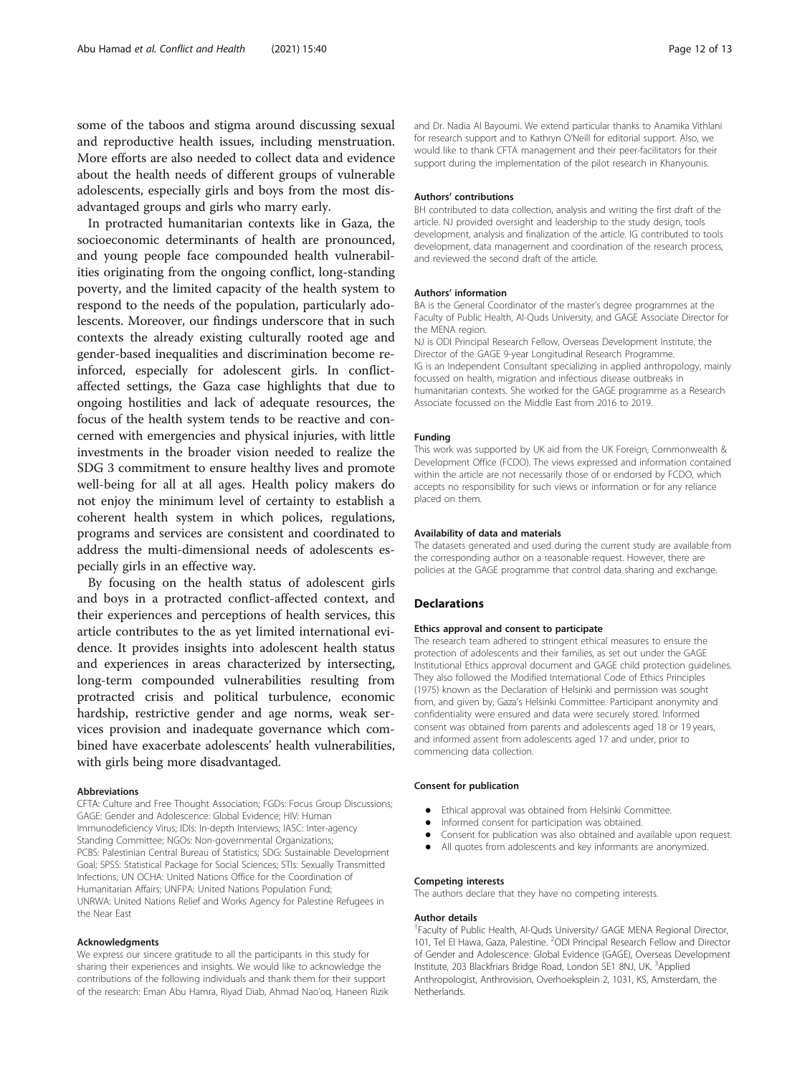some of the taboos and stigma around discussing sexual and reproductive health issues, including menstruation. More efforts are also needed to collect data and evidence about the health needs of different groups of vulnerable adolescents, especially girls and boys from the most disadvantaged groups and girls who marry early.

In protracted humanitarian contexts like in Gaza, the socioeconomic determinants of health are pronounced, and young people face compounded health vulnerabilities originating from the ongoing conflict, long-standing poverty, and the limited capacity of the health system to respond to the needs of the population, particularly adolescents. Moreover, our findings underscore that in such contexts the already existing culturally rooted age and gender-based inequalities and discrimination become reinforced, especially for adolescent girls. In conflictaffected settings, the Gaza case highlights that due to ongoing hostilities and lack of adequate resources, the focus of the health system tends to be reactive and concerned with emergencies and physical injuries, with little investments in the broader vision needed to realize the SDG 3 commitment to ensure healthy lives and promote well-being for all at all ages. Health policy makers do not enjoy the minimum level of certainty to establish a coherent health system in which polices, regulations, programs and services are consistent and coordinated to address the multi-dimensional needs of adolescents especially girls in an effective way.

By focusing on the health status of adolescent girls and boys in a protracted conflict-affected context, and their experiences and perceptions of health services, this article contributes to the as yet limited international evidence. It provides insights into adolescent health status and experiences in areas characterized by intersecting, long-term compounded vulnerabilities resulting from protracted crisis and political turbulence, economic hardship, restrictive gender and age norms, weak services provision and inadequate governance which combined have exacerbate adolescents' health vulnerabilities, with girls being more disadvantaged.

#### Abbreviations

CFTA: Culture and Free Thought Association; FGDs: Focus Group Discussions; GAGE: Gender and Adolescence: Global Evidence; HIV: Human Immunodeficiency Virus; IDIs: In-depth Interviews; IASC: Inter-agency Standing Committee; NGOs: Non-governmental Organizations; PCBS: Palestinian Central Bureau of Statistics; SDG: Sustainable Development Goal; SPSS: Statistical Package for Social Sciences; STIs: Sexually Transmitted Infections; UN OCHA: United Nations Office for the Coordination of Humanitarian Affairs; UNFPA: United Nations Population Fund; UNRWA: United Nations Relief and Works Agency for Palestine Refugees in the Near East

#### Acknowledgments

We express our sincere gratitude to all the participants in this study for sharing their experiences and insights. We would like to acknowledge the contributions of the following individuals and thank them for their support of the research: Eman Abu Hamra, Riyad Diab, Ahmad Nao'oq, Haneen Rizik and Dr. Nadia Al Bayoumi. We extend particular thanks to Anamika Vithlani for research support and to Kathryn O'Neill for editorial support. Also, we would like to thank CFTA management and their peer-facilitators for their support during the implementation of the pilot research in Khanyounis.

#### Authors' contributions

BH contributed to data collection, analysis and writing the first draft of the article. NJ provided oversight and leadership to the study design, tools development, analysis and finalization of the article. IG contributed to tools development, data management and coordination of the research process, and reviewed the second draft of the article.

#### Authors' information

BA is the General Coordinator of the master's degree programmes at the Faculty of Public Health, Al-Quds University, and GAGE Associate Director for the MENA region.

NJ is ODI Principal Research Fellow, Overseas Development Institute, the Director of the GAGE 9-year Longitudinal Research Programme. IG is an Independent Consultant specializing in applied anthropology, mainly focussed on health, migration and infectious disease outbreaks in humanitarian contexts. She worked for the GAGE programme as a Research Associate focussed on the Middle East from 2016 to 2019.

#### Funding

This work was supported by UK aid from the UK Foreign, Commonwealth & Development Office (FCDO). The views expressed and information contained within the article are not necessarily those of or endorsed by FCDO, which accepts no responsibility for such views or information or for any reliance placed on them.

#### Availability of data and materials

The datasets generated and used during the current study are available from the corresponding author on a reasonable request. However, there are policies at the GAGE programme that control data sharing and exchange.

## **Declarations**

## Ethics approval and consent to participate

The research team adhered to stringent ethical measures to ensure the protection of adolescents and their families, as set out under the GAGE Institutional Ethics approval document and GAGE child protection guidelines. They also followed the Modified International Code of Ethics Principles (1975) known as the Declaration of Helsinki and permission was sought from, and given by, Gaza's Helsinki Committee. Participant anonymity and confidentiality were ensured and data were securely stored. Informed consent was obtained from parents and adolescents aged 18 or 19 years, and informed assent from adolescents aged 17 and under, prior to commencing data collection.

#### Consent for publication

- 
- Ethical approval was obtained from Helsinki Committee.<br>• Informed consent for participation was obtained Informed consent for participation was obtained.
- Consent for publication was also obtained and available upon request.
- All quotes from adolescents and key informants are anonymized.

#### Competing interests

The authors declare that they have no competing interests.

#### Author details

<sup>1</sup> Faculty of Public Health, Al-Quds University/ GAGE MENA Regional Director, 101, Tel El Hawa, Gaza, Palestine. <sup>2</sup>ODI Principal Research Fellow and Director of Gender and Adolescence: Global Evidence (GAGE), Overseas Development Institute, 203 Blackfriars Bridge Road, London SE1 8NJ, UK. <sup>3</sup>Applied Anthropologist, Anthrovision, Overhoeksplein 2, 1031, KS, Amsterdam, the Netherlands.